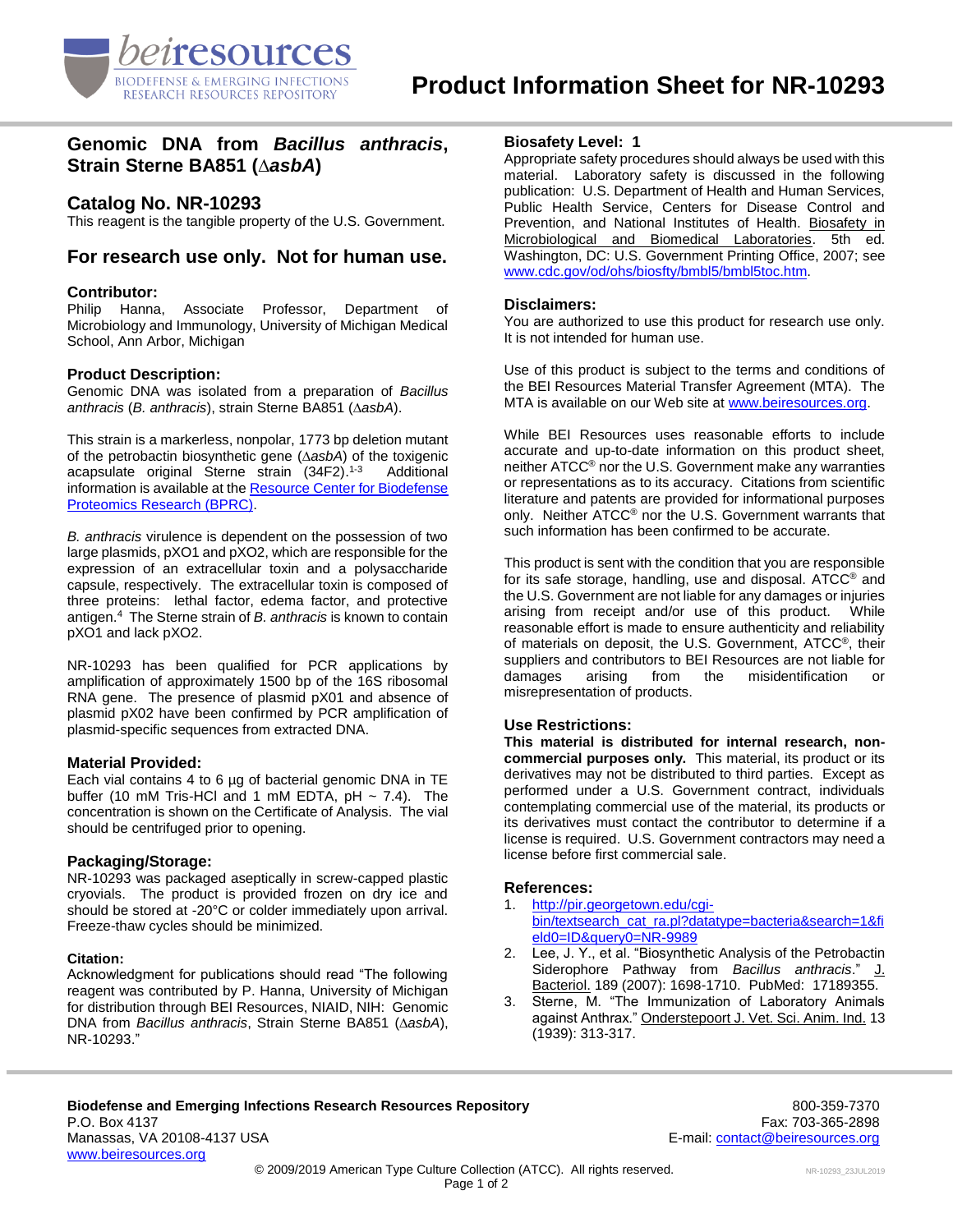

# **Genomic DNA from** *Bacillus anthracis***, Strain Sterne BA851 (∆***asbA***)**

## **Catalog No. NR-10293**

This reagent is the tangible property of the U.S. Government.

## **For research use only. Not for human use.**

## **Contributor:**

Philip Hanna, Associate Professor, Department of Microbiology and Immunology, University of Michigan Medical School, Ann Arbor, Michigan

### **Product Description:**

Genomic DNA was isolated from a preparation of *Bacillus anthracis* (*B. anthracis*), strain Sterne BA851 (∆*asbA*).

This strain is a markerless, nonpolar, 1773 bp deletion mutant of the petrobactin biosynthetic gene (∆*asbA*) of the toxigenic acapsulate original Sterne strain (34F2). 1-3 Additional information is available at th[e Resource Center for Biodefense](http://pir.georgetown.edu/cgi-bin/textsearch_cat_ra.pl?datatype=bacteria&search=1&field0=ID&query0=NR-9989)  [Proteomics Research \(BPRC\).](http://pir.georgetown.edu/cgi-bin/textsearch_cat_ra.pl?datatype=bacteria&search=1&field0=ID&query0=NR-9989)

*B. anthracis* virulence is dependent on the possession of two large plasmids, pXO1 and pXO2, which are responsible for the expression of an extracellular toxin and a polysaccharide capsule, respectively. The extracellular toxin is composed of three proteins: lethal factor, edema factor, and protective antigen.<sup>4</sup> The Sterne strain of *B. anthracis* is known to contain pXO1 and lack pXO2.

NR-10293 has been qualified for PCR applications by amplification of approximately 1500 bp of the 16S ribosomal RNA gene. The presence of plasmid pX01 and absence of plasmid pX02 have been confirmed by PCR amplification of plasmid-specific sequences from extracted DNA.

#### **Material Provided:**

Each vial contains 4 to 6 µg of bacterial genomic DNA in TE buffer (10 mM Tris-HCl and 1 mM EDTA,  $pH \sim 7.4$ ). The concentration is shown on the Certificate of Analysis. The vial should be centrifuged prior to opening.

#### **Packaging/Storage:**

NR-10293 was packaged aseptically in screw-capped plastic cryovials. The product is provided frozen on dry ice and should be stored at -20°C or colder immediately upon arrival. Freeze-thaw cycles should be minimized.

#### **Citation:**

Acknowledgment for publications should read "The following reagent was contributed by P. Hanna, University of Michigan for distribution through BEI Resources, NIAID, NIH: Genomic DNA from *Bacillus anthracis*, Strain Sterne BA851 (∆*asbA*), NR-10293."

### **Biosafety Level: 1**

Appropriate safety procedures should always be used with this material. Laboratory safety is discussed in the following publication: U.S. Department of Health and Human Services, Public Health Service, Centers for Disease Control and Prevention, and National Institutes of Health. Biosafety in Microbiological and Biomedical Laboratories. 5th ed. Washington, DC: U.S. Government Printing Office, 2007; see [www.cdc.gov/od/ohs/biosfty/bmbl5/bmbl5toc.htm.](http://www.cdc.gov/od/ohs/biosfty/bmbl5/bmbl5toc.htm)

#### **Disclaimers:**

You are authorized to use this product for research use only. It is not intended for human use.

Use of this product is subject to the terms and conditions of the BEI Resources Material Transfer Agreement (MTA). The MTA is available on our Web site at [www.beiresources.org.](http://www.beiresources.org/)

While BEI Resources uses reasonable efforts to include accurate and up-to-date information on this product sheet, neither ATCC® nor the U.S. Government make any warranties or representations as to its accuracy. Citations from scientific literature and patents are provided for informational purposes only. Neither ATCC® nor the U.S. Government warrants that such information has been confirmed to be accurate.

This product is sent with the condition that you are responsible for its safe storage, handling, use and disposal. ATCC® and the U.S. Government are not liable for any damages or injuries arising from receipt and/or use of this product. While reasonable effort is made to ensure authenticity and reliability of materials on deposit, the U.S. Government, ATCC®, their suppliers and contributors to BEI Resources are not liable for damages arising from the misidentification or misrepresentation of products.

#### **Use Restrictions:**

**This material is distributed for internal research, noncommercial purposes only.** This material, its product or its derivatives may not be distributed to third parties. Except as performed under a U.S. Government contract, individuals contemplating commercial use of the material, its products or its derivatives must contact the contributor to determine if a license is required. U.S. Government contractors may need a license before first commercial sale.

#### **References:**

- 1. [http://pir.georgetown.edu/cgi](http://pir.georgetown.edu/cgi-bin/textsearch_cat_ra.pl?datatype=bacteria&search=1&field0=ID&query0=NR-9989)[bin/textsearch\\_cat\\_ra.pl?datatype=bacteria&search=1&fi](http://pir.georgetown.edu/cgi-bin/textsearch_cat_ra.pl?datatype=bacteria&search=1&field0=ID&query0=NR-9989) [eld0=ID&query0=NR-9989](http://pir.georgetown.edu/cgi-bin/textsearch_cat_ra.pl?datatype=bacteria&search=1&field0=ID&query0=NR-9989)
- 2. Lee, J. Y., et al. "Biosynthetic Analysis of the Petrobactin Siderophore Pathway from *Bacillus anthracis*." J. Bacteriol. 189 (2007): 1698-1710. PubMed: 17189355.
- 3. Sterne, M. "The Immunization of Laboratory Animals against Anthrax." Onderstepoort J. Vet. Sci. Anim. Ind. 13 (1939): 313-317.

#### **Biodefense and Emerging Infections Research Resources Repository** 800-359-7370 P.O. Box 4137 Fax: 703-365-2898 Manassas, VA 20108-4137 USA E-mail: [contact@beiresources.org](mailto:contact@beiresources.org) [www.beiresources.org](http://www.beiresources.org/)